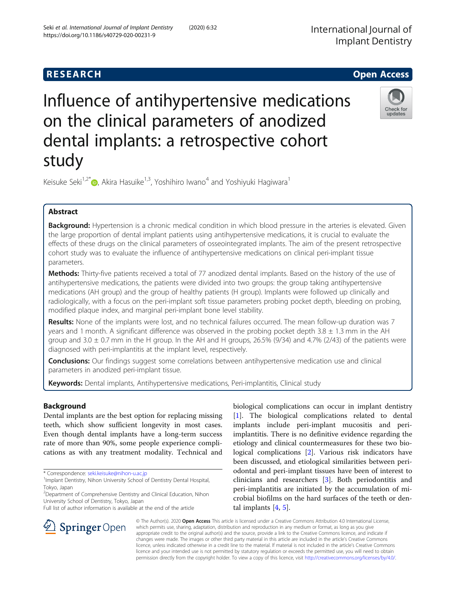## **RESEARCH CHE Open Access**

# Influence of antihypertensive medications on the clinical parameters of anodized dental implants: a retrospective cohort study



Keisuke Seki<sup>1[,](http://orcid.org/0000-0002-6130-1259)2\*</sup> $\bullet$ , Akira Hasuike<sup>1,3</sup>, Yoshihiro Iwano<sup>4</sup> and Yoshiyuki Hagiwara<sup>1</sup>

### Abstract

Background: Hypertension is a chronic medical condition in which blood pressure in the arteries is elevated. Given the large proportion of dental implant patients using antihypertensive medications, it is crucial to evaluate the effects of these drugs on the clinical parameters of osseointegrated implants. The aim of the present retrospective cohort study was to evaluate the influence of antihypertensive medications on clinical peri-implant tissue parameters.

Methods: Thirty-five patients received a total of 77 anodized dental implants. Based on the history of the use of antihypertensive medications, the patients were divided into two groups: the group taking antihypertensive medications (AH group) and the group of healthy patients (H group). Implants were followed up clinically and radiologically, with a focus on the peri-implant soft tissue parameters probing pocket depth, bleeding on probing, modified plaque index, and marginal peri-implant bone level stability.

Results: None of the implants were lost, and no technical failures occurred. The mean follow-up duration was 7 years and 1 month. A significant difference was observed in the probing pocket depth  $3.8 \pm 1.3$  mm in the AH group and  $3.0 \pm 0.7$  mm in the H group. In the AH and H groups, 26.5% (9/34) and 4.7% (2/43) of the patients were diagnosed with peri-implantitis at the implant level, respectively.

**Conclusions:** Our findings suggest some correlations between antihypertensive medication use and clinical parameters in anodized peri-implant tissue.

Keywords: Dental implants, Antihypertensive medications, Peri-implantitis, Clinical study

### Background

Dental implants are the best option for replacing missing teeth, which show sufficient longevity in most cases. Even though dental implants have a long-term success rate of more than 90%, some people experience complications as with any treatment modality. Technical and

\* Correspondence: [seki.keisuke@nihon-u.ac.jp](mailto:seki.keisuke@nihon-u.ac.jp) <sup>1</sup>

<sup>2</sup> Department of Comprehensive Dentistry and Clinical Education, Nihon University School of Dentistry, Tokyo, Japan

Full list of author information is available at the end of the article

biological complications can occur in implant dentistry [[1\]](#page-7-0). The biological complications related to dental implants include peri-implant mucositis and periimplantitis. There is no definitive evidence regarding the etiology and clinical countermeasures for these two biological complications [[2\]](#page-7-0). Various risk indicators have been discussed, and etiological similarities between periodontal and peri-implant tissues have been of interest to clinicians and researchers [\[3](#page-7-0)]. Both periodontitis and peri-implantitis are initiated by the accumulation of microbial biofilms on the hard surfaces of the teeth or dental implants [\[4](#page-7-0), [5](#page-7-0)].



© The Author(s). 2020 Open Access This article is licensed under a Creative Commons Attribution 4.0 International License, which permits use, sharing, adaptation, distribution and reproduction in any medium or format, as long as you give appropriate credit to the original author(s) and the source, provide a link to the Creative Commons licence, and indicate if changes were made. The images or other third party material in this article are included in the article's Creative Commons licence, unless indicated otherwise in a credit line to the material. If material is not included in the article's Creative Commons licence and your intended use is not permitted by statutory regulation or exceeds the permitted use, you will need to obtain permission directly from the copyright holder. To view a copy of this licence, visit <http://creativecommons.org/licenses/by/4.0/>.

<sup>&</sup>lt;sup>1</sup>Implant Dentistry, Nihon University School of Dentistry Dental Hospital, Tokyo, Japan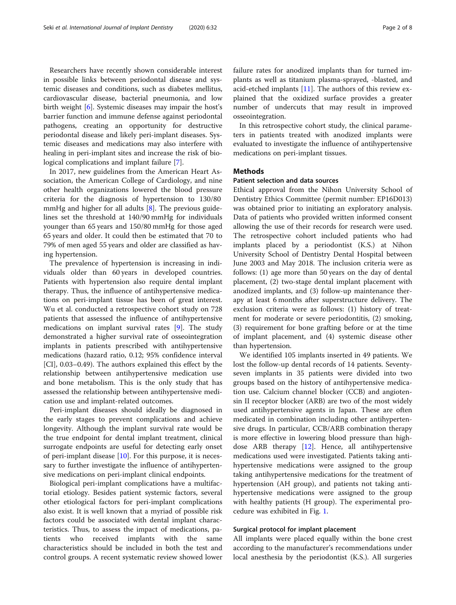Researchers have recently shown considerable interest in possible links between periodontal disease and systemic diseases and conditions, such as diabetes mellitus, cardiovascular disease, bacterial pneumonia, and low birth weight [\[6](#page-7-0)]. Systemic diseases may impair the host's barrier function and immune defense against periodontal pathogens, creating an opportunity for destructive periodontal disease and likely peri-implant diseases. Systemic diseases and medications may also interfere with healing in peri-implant sites and increase the risk of bio-

In 2017, new guidelines from the American Heart Association, the American College of Cardiology, and nine other health organizations lowered the blood pressure criteria for the diagnosis of hypertension to 130/80 mmHg and higher for all adults [\[8](#page-7-0)]. The previous guidelines set the threshold at 140/90 mmHg for individuals younger than 65 years and 150/80 mmHg for those aged 65 years and older. It could then be estimated that 70 to 79% of men aged 55 years and older are classified as having hypertension.

logical complications and implant failure [[7\]](#page-7-0).

The prevalence of hypertension is increasing in individuals older than 60 years in developed countries. Patients with hypertension also require dental implant therapy. Thus, the influence of antihypertensive medications on peri-implant tissue has been of great interest. Wu et al. conducted a retrospective cohort study on 728 patients that assessed the influence of antihypertensive medications on implant survival rates [[9\]](#page-7-0). The study demonstrated a higher survival rate of osseointegration implants in patients prescribed with antihypertensive medications (hazard ratio, 0.12; 95% confidence interval [CI], 0.03–0.49). The authors explained this effect by the relationship between antihypertensive medication use and bone metabolism. This is the only study that has assessed the relationship between antihypertensive medication use and implant-related outcomes.

Peri-implant diseases should ideally be diagnosed in the early stages to prevent complications and achieve longevity. Although the implant survival rate would be the true endpoint for dental implant treatment, clinical surrogate endpoints are useful for detecting early onset of peri-implant disease [\[10\]](#page-7-0). For this purpose, it is necessary to further investigate the influence of antihypertensive medications on peri-implant clinical endpoints.

Biological peri-implant complications have a multifactorial etiology. Besides patient systemic factors, several other etiological factors for peri-implant complications also exist. It is well known that a myriad of possible risk factors could be associated with dental implant characteristics. Thus, to assess the impact of medications, patients who received implants with the same characteristics should be included in both the test and control groups. A recent systematic review showed lower failure rates for anodized implants than for turned implants as well as titanium plasma-sprayed, -blasted, and acid-etched implants [\[11](#page-7-0)]. The authors of this review explained that the oxidized surface provides a greater number of undercuts that may result in improved osseointegration.

In this retrospective cohort study, the clinical parameters in patients treated with anodized implants were evaluated to investigate the influence of antihypertensive medications on peri-implant tissues.

#### **Methods**

#### Patient selection and data sources

Ethical approval from the Nihon University School of Dentistry Ethics Committee (permit number: EP16D013) was obtained prior to initiating an exploratory analysis. Data of patients who provided written informed consent allowing the use of their records for research were used. The retrospective cohort included patients who had implants placed by a periodontist (K.S.) at Nihon University School of Dentistry Dental Hospital between June 2003 and May 2018. The inclusion criteria were as follows: (1) age more than 50 years on the day of dental placement, (2) two-stage dental implant placement with anodized implants, and (3) follow-up maintenance therapy at least 6 months after superstructure delivery. The exclusion criteria were as follows: (1) history of treatment for moderate or severe periodontitis, (2) smoking, (3) requirement for bone grafting before or at the time of implant placement, and (4) systemic disease other than hypertension.

We identified 105 implants inserted in 49 patients. We lost the follow-up dental records of 14 patients. Seventyseven implants in 35 patients were divided into two groups based on the history of antihypertensive medication use. Calcium channel blocker (CCB) and angiotensin II receptor blocker (ARB) are two of the most widely used antihypertensive agents in Japan. These are often medicated in combination including other antihypertensive drugs. In particular, CCB/ARB combination therapy is more effective in lowering blood pressure than highdose ARB therapy [\[12](#page-7-0)]. Hence, all antihypertensive medications used were investigated. Patients taking antihypertensive medications were assigned to the group taking antihypertensive medications for the treatment of hypertension (AH group), and patients not taking antihypertensive medications were assigned to the group with healthy patients (H group). The experimental procedure was exhibited in Fig. [1.](#page-2-0)

#### Surgical protocol for implant placement

All implants were placed equally within the bone crest according to the manufacturer's recommendations under local anesthesia by the periodontist (K.S.). All surgeries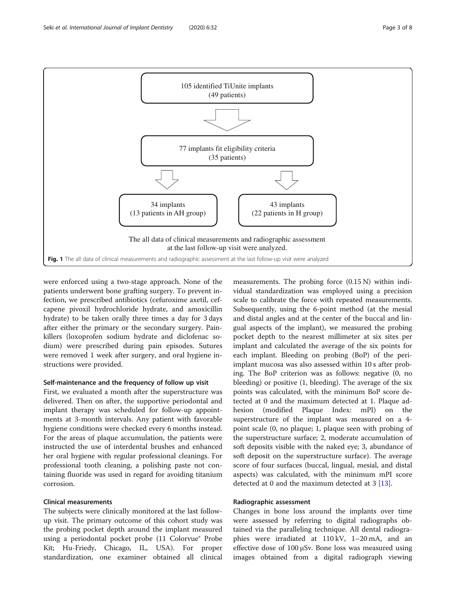<span id="page-2-0"></span>

were enforced using a two-stage approach. None of the patients underwent bone grafting surgery. To prevent infection, we prescribed antibiotics (cefuroxime axetil, cefcapene pivoxil hydrochloride hydrate, and amoxicillin hydrate) to be taken orally three times a day for 3 days after either the primary or the secondary surgery. Painkillers (loxoprofen sodium hydrate and diclofenac sodium) were prescribed during pain episodes. Sutures were removed 1 week after surgery, and oral hygiene instructions were provided.

#### Self-maintenance and the frequency of follow up visit

First, we evaluated a month after the superstructure was delivered. Then on after, the supportive periodontal and implant therapy was scheduled for follow-up appointments at 3-month intervals. Any patient with favorable hygiene conditions were checked every 6 months instead. For the areas of plaque accumulation, the patients were instructed the use of interdental brushes and enhanced her oral hygiene with regular professional cleanings. For professional tooth cleaning, a polishing paste not containing fluoride was used in regard for avoiding titanium corrosion.

#### Clinical measurements

The subjects were clinically monitored at the last followup visit. The primary outcome of this cohort study was the probing pocket depth around the implant measured using a periodontal pocket probe (11 Colorvue® Probe Kit; Hu-Friedy, Chicago, IL, USA). For proper standardization, one examiner obtained all clinical

measurements. The probing force (0.15 N) within individual standardization was employed using a precision scale to calibrate the force with repeated measurements. Subsequently, using the 6-point method (at the mesial and distal angles and at the center of the buccal and lingual aspects of the implant), we measured the probing pocket depth to the nearest millimeter at six sites per implant and calculated the average of the six points for each implant. Bleeding on probing (BoP) of the periimplant mucosa was also assessed within 10 s after probing. The BoP criterion was as follows: negative (0, no bleeding) or positive (1, bleeding). The average of the six points was calculated, with the minimum BoP score detected at 0 and the maximum detected at 1. Plaque adhesion (modified Plaque Index: mPI) on the superstructure of the implant was measured on a 4 point scale (0, no plaque; 1, plaque seen with probing of the superstructure surface; 2, moderate accumulation of soft deposits visible with the naked eye; 3, abundance of soft deposit on the superstructure surface). The average score of four surfaces (buccal, lingual, mesial, and distal aspects) was calculated, with the minimum mPI score detected at 0 and the maximum detected at 3  $[13]$  $[13]$  $[13]$ .

#### Radiographic assessment

Changes in bone loss around the implants over time were assessed by referring to digital radiographs obtained via the paralleling technique. All dental radiographies were irradiated at 110 kV, 1–20 mA, and an effective dose of 100 μSv. Bone loss was measured using images obtained from a digital radiograph viewing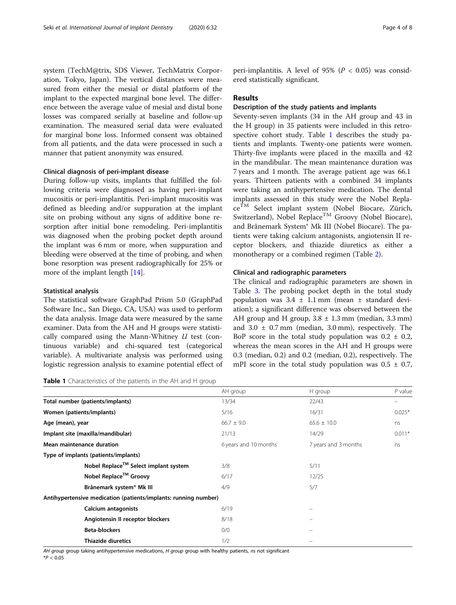system (TechM@trix, SDS Viewer, TechMatrix Corporation, Tokyo, Japan). The vertical distances were measured from either the mesial or distal platform of the implant to the expected marginal bone level. The difference between the average value of mesial and distal bone losses was compared serially at baseline and follow-up examination. The measured serial data were evaluated for marginal bone loss. Informed consent was obtained from all patients, and the data were processed in such a manner that patient anonymity was ensured.

#### Clinical diagnosis of peri-implant disease

During follow-up visits, implants that fulfilled the following criteria were diagnosed as having peri-implant mucositis or peri-implantitis. Peri-implant mucositis was defined as bleeding and/or suppuration at the implant site on probing without any signs of additive bone resorption after initial bone remodeling. Peri-implantitis was diagnosed when the probing pocket depth around the implant was 6 mm or more, when suppuration and bleeding were observed at the time of probing, and when bone resorption was present radiographically for 25% or more of the implant length [[14\]](#page-7-0).

#### Statistical analysis

The statistical software GraphPad Prism 5.0 (GraphPad Software Inc., San Diego, CA, USA) was used to perform the data analysis. Image data were measured by the same examiner. Data from the AH and H groups were statistically compared using the Mann-Whitney  $U$  test (continuous variable) and chi-squared test (categorical variable). A multivariate analysis was performed using logistic regression analysis to examine potential effect of

Table 1 Characteristics of the patients in the AH and H group

peri-implantitis. A level of 95% ( $P < 0.05$ ) was considered statistically significant.

#### Results

#### Description of the study patients and implants

Seventy-seven implants (34 in the AH group and 43 in the H group) in 35 patients were included in this retrospective cohort study. Table 1 describes the study patients and implants. Twenty-one patients were women. Thirty-five implants were placed in the maxilla and 42 in the mandibular. The mean maintenance duration was 7 years and 1 month. The average patient age was 66.1 years. Thirteen patients with a combined 34 implants were taking an antihypertensive medication. The dental implants assessed in this study were the Nobel ReplaceTM Select implant system (Nobel Biocare, Zürich, Switzerland), Nobel Replace<sup>TM</sup> Groovy (Nobel Biocare), and Brånemark System® Mk III (Nobel Biocare). The patients were taking calcium antagonists, angiotensin II receptor blockers, and thiazide diuretics as either a monotherapy or a combined regimen (Table [2\)](#page-4-0).

#### Clinical and radiographic parameters

The clinical and radiographic parameters are shown in Table [3.](#page-4-0) The probing pocket depth in the total study population was  $3.4 \pm 1.1$  mm (mean  $\pm$  standard deviation); a significant difference was observed between the AH group and H group,  $3.8 \pm 1.3$  mm (median,  $3.3$  mm) and  $3.0 \pm 0.7$  mm (median,  $3.0$  mm), respectively. The BoP score in the total study population was  $0.2 \pm 0.2$ , whereas the mean scores in the AH and H groups were 0.3 (median, 0.2) and 0.2 (median, 0.2), respectively. The mPI score in the total study population was  $0.5 \pm 0.7$ ,

|                                                                 | AH group              | H group              | $P$ value |
|-----------------------------------------------------------------|-----------------------|----------------------|-----------|
| Total number (patients/implants)                                | 13/34                 | 22/43                |           |
| Women (patients/implants)                                       | 5/16                  | 16/31                | $0.025*$  |
| Age (mean), year                                                | $66.7 \pm 9.0$        | $65.6 \pm 10.0$      | ns        |
| Implant site (maxilla/mandibular)                               | 21/13                 | 14/29                | $0.011*$  |
| Mean maintenance duration                                       | 6 years and 10 months | 7 years and 3 months | ns        |
| Type of implants (patients/implants)                            |                       |                      |           |
| Nobel Replace™ Select implant system                            | 3/8                   | 5/11                 |           |
| Nobel Replace™ Groovy                                           | 6/17                  | 12/25                |           |
| Brånemark system <sup>®</sup> Mk III                            | 4/9                   | 5/7                  |           |
| Antihypertensive medication (patients/implants: running number) |                       |                      |           |
| <b>Calcium antagonists</b>                                      | 6/19                  |                      |           |
| Angiotensin II receptor blockers                                | 8/18                  |                      |           |
| <b>Beta-blockers</b>                                            | 0/0                   |                      |           |
| <b>Thiazide diuretics</b>                                       | 1/2                   |                      |           |

AH group group taking antihypertensive medications, H group group with healthy patients, ns not significant

 $*P < 0.05$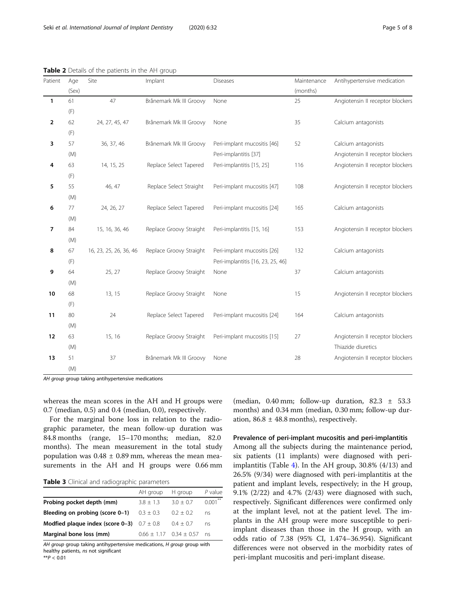| Patient        | Age   | Site                   | Implant                 | <b>Diseases</b>                   | Maintenance | Antihypertensive medication      |
|----------------|-------|------------------------|-------------------------|-----------------------------------|-------------|----------------------------------|
|                | (Sex) |                        |                         |                                   | (months)    |                                  |
| 1              | 61    | 47                     | Brånemark Mk III Groovy | None                              | 25          | Angiotensin II receptor blockers |
|                | (F)   |                        |                         |                                   |             |                                  |
| $\overline{2}$ | 62    | 24, 27, 45, 47         | Brånemark Mk III Groovy | None                              | 35          | Calcium antagonists              |
|                | (F)   |                        |                         |                                   |             |                                  |
| 3              | 57    | 36, 37, 46             | Brånemark Mk III Groovy | Peri-implant mucositis [46]       | 52          | Calcium antagonists              |
|                | (M)   |                        |                         | Peri-implantitis [37]             |             | Angiotensin II receptor blockers |
| 4              | 63    | 14, 15, 25             | Replace Select Tapered  | Peri-implantitis [15, 25]         | 116         | Angiotensin II receptor blockers |
|                | (F)   |                        |                         |                                   |             |                                  |
| 5              | 55    | 46, 47                 | Replace Select Straight | Peri-implant mucositis [47]       | 108         | Angiotensin II receptor blockers |
|                | (M)   |                        |                         |                                   |             |                                  |
| 6              | 77    | 24, 26, 27             | Replace Select Tapered  | Peri-implant mucositis [24]       | 165         | Calcium antagonists              |
|                | (M)   |                        |                         |                                   |             |                                  |
| 7              | 84    | 15, 16, 36, 46         | Replace Groovy Straight | Peri-implantitis [15, 16]         | 153         | Angiotensin II receptor blockers |
|                | (M)   |                        |                         |                                   |             |                                  |
| 8              | 67    | 16, 23, 25, 26, 36, 46 | Replace Groovy Straight | Peri-implant mucositis [26]       | 132         | Calcium antagonists              |
|                | (F)   |                        |                         | Peri-implantitis [16, 23, 25, 46] |             |                                  |
| 9              | 64    | 25, 27                 | Replace Groovy Straight | None                              | 37          | Calcium antagonists              |
|                | (M)   |                        |                         |                                   |             |                                  |
| 10             | 68    | 13, 15                 | Replace Groovy Straight | None                              | 15          | Angiotensin II receptor blockers |
|                | (F)   |                        |                         |                                   |             |                                  |
| 11             | 80    | 24                     | Replace Select Tapered  | Peri-implant mucositis [24]       | 164         | Calcium antagonists              |
|                | (M)   |                        |                         |                                   |             |                                  |
| 12             | 63    | 15, 16                 | Replace Groovy Straight | Peri-implant mucositis [15]       | 27          | Angiotensin II receptor blockers |
|                | (M)   |                        |                         |                                   |             | Thiazide diuretics               |
| 13             | 51    | 37                     | Brånemark Mk III Groovy | None                              | 28          | Angiotensin II receptor blockers |
|                | (M)   |                        |                         |                                   |             |                                  |

<span id="page-4-0"></span>Table 2 Details of the patients in the AH group

AH group group taking antihypertensive medications

whereas the mean scores in the AH and H groups were 0.7 (median, 0.5) and 0.4 (median, 0.0), respectively.

For the marginal bone loss in relation to the radiographic parameter, the mean follow-up duration was 84.8 months (range, 15–170 months; median, 82.0 months). The mean measurement in the total study population was  $0.48 \pm 0.89$  mm, whereas the mean measurements in the AH and H groups were 0.66 mm

Table 3 Clinical and radiographic parameters

|                                                       | AH group      | H group                     | P value    |
|-------------------------------------------------------|---------------|-----------------------------|------------|
| Probing pocket depth (mm)                             | $3.8 + 1.3$   | $3.0 + 0.7$                 | $0.001***$ |
| Bleeding on probing (score 0-1)                       | $0.3 \pm 0.3$ | $0.2 + 0.2$                 | ns         |
| <b>Modfied plaque index (score 0–3)</b> $0.7 \pm 0.8$ |               | $0.4 + 0.7$                 | ns         |
| Marginal bone loss (mm)                               |               | $0.66 + 1.17$ $0.34 + 0.57$ | ns         |

AH group group taking antihypertensive medications, H group group with healthy patients, ns not significant

 $*$  $P$  < 0.01

(median,  $0.40$  mm; follow-up duration,  $82.3 \pm 53.3$ months) and 0.34 mm (median, 0.30 mm; follow-up duration,  $86.8 \pm 48.8$  months), respectively.

#### Prevalence of peri-implant mucositis and peri-implantitis

Among all the subjects during the maintenance period, six patients (11 implants) were diagnosed with peri-implantitis (Table [4\)](#page-5-0). In the AH group,  $30.8\%$  (4/13) and 26.5% (9/34) were diagnosed with peri-implantitis at the patient and implant levels, respectively; in the H group, 9.1% (2/22) and 4.7% (2/43) were diagnosed with such, respectively. Significant differences were confirmed only at the implant level, not at the patient level. The implants in the AH group were more susceptible to periimplant diseases than those in the H group, with an odds ratio of 7.38 (95% CI, 1.474–36.954). Significant differences were not observed in the morbidity rates of peri-implant mucositis and peri-implant disease.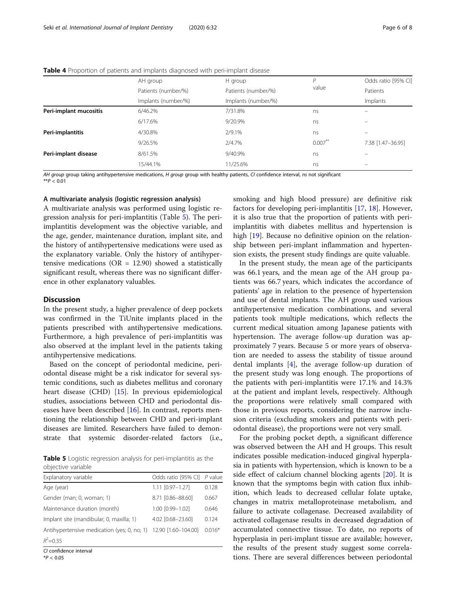|                        | AH group<br>Patients (number/%)<br>Implants (number/%) | H group             | D     | Odds ratio [95% CI] |  |
|------------------------|--------------------------------------------------------|---------------------|-------|---------------------|--|
|                        |                                                        | Patients (number/%) | value | Patients            |  |
|                        |                                                        | Implants (number/%) |       | Implants            |  |
| Peri-implant mucositis | 6/46.2%                                                | 7/31.8%             | ns    | -                   |  |
|                        | 6/17.6%                                                | 9/20.9%             | ns    |                     |  |
| Peri-implantitis       | 4/30.8%                                                | 2/9.1%              | ns    |                     |  |
|                        | 9/26.5%                                                | 7/4.7%              | 0.007 | 7.38 [1.47-36.95]   |  |
| Peri-implant disease   | 8/61.5%                                                | 9/40.9%             | ns    |                     |  |
|                        | 15/44.1%                                               | 11/25.6%            | ns    | -                   |  |

<span id="page-5-0"></span>**Table 4** Proportion of patients and implants diagnosed with peri-implant disease

AH group group taking antihypertensive medications, H group group with healthy patients, CI confidence interval, ns not significant  $*$  $P$  < 0.01

#### A multivariate analysis (logistic regression analysis)

A multivariate analysis was performed using logistic regression analysis for peri-implantitis (Table 5). The periimplantitis development was the objective variable, and the age, gender, maintenance duration, implant site, and the history of antihypertensive medications were used as the explanatory variable. Only the history of antihypertensive medications ( $OR = 12.90$ ) showed a statistically significant result, whereas there was no significant difference in other explanatory valuables.

#### **Discussion**

In the present study, a higher prevalence of deep pockets was confirmed in the TiUnite implants placed in the patients prescribed with antihypertensive medications. Furthermore, a high prevalence of peri-implantitis was also observed at the implant level in the patients taking antihypertensive medications.

Based on the concept of periodontal medicine, periodontal disease might be a risk indicator for several systemic conditions, such as diabetes mellitus and coronary heart disease (CHD) [[15](#page-7-0)]. In previous epidemiological studies, associations between CHD and periodontal diseases have been described [\[16\]](#page-7-0). In contrast, reports mentioning the relationship between CHD and peri-implant diseases are limited. Researchers have failed to demonstrate that systemic disorder-related factors (i.e.,

Table 5 Logistic regression analysis for peri-implantitis as the objective variable

| Odds ratio [95% CI] P value                 |          |
|---------------------------------------------|----------|
| 1.11 [0.97-1.27]                            | 0.128    |
| 8.71 [0.86-88.60]                           | 0.667    |
| 1.00 [0.99-1.02]                            | 0.646    |
| 4.02 [0.68-23.60]                           | 0.124    |
| 12.90 [1.60-104.00]                         | $0.016*$ |
|                                             |          |
| Antihypertensive medication (yes; 0, no; 1) |          |

CI confidence interval  $*P < 0.05$ 

smoking and high blood pressure) are definitive risk factors for developing peri-implantitis [[17](#page-7-0), [18](#page-7-0)]. However, it is also true that the proportion of patients with periimplantitis with diabetes mellitus and hypertension is high [\[19](#page-7-0)]. Because no definitive opinion on the relationship between peri-implant inflammation and hypertension exists, the present study findings are quite valuable.

In the present study, the mean age of the participants was 66.1 years, and the mean age of the AH group patients was 66.7 years, which indicates the accordance of patients' age in relation to the presence of hypertension and use of dental implants. The AH group used various antihypertensive medication combinations, and several patients took multiple medications, which reflects the current medical situation among Japanese patients with hypertension. The average follow-up duration was approximately 7 years. Because 5 or more years of observation are needed to assess the stability of tissue around dental implants [\[4](#page-7-0)], the average follow-up duration of the present study was long enough. The proportions of the patients with peri-implantitis were 17.1% and 14.3% at the patient and implant levels, respectively. Although the proportions were relatively small compared with those in previous reports, considering the narrow inclusion criteria (excluding smokers and patients with periodontal disease), the proportions were not very small.

For the probing pocket depth, a significant difference was observed between the AH and H groups. This result indicates possible medication-induced gingival hyperplasia in patients with hypertension, which is known to be a side effect of calcium channel blocking agents [\[20](#page-7-0)]. It is known that the symptoms begin with cation flux inhibition, which leads to decreased cellular folate uptake, changes in matrix metalloproteinase metabolism, and failure to activate collagenase. Decreased availability of activated collagenase results in decreased degradation of accumulated connective tissue. To date, no reports of hyperplasia in peri-implant tissue are available; however, the results of the present study suggest some correlations. There are several differences between periodontal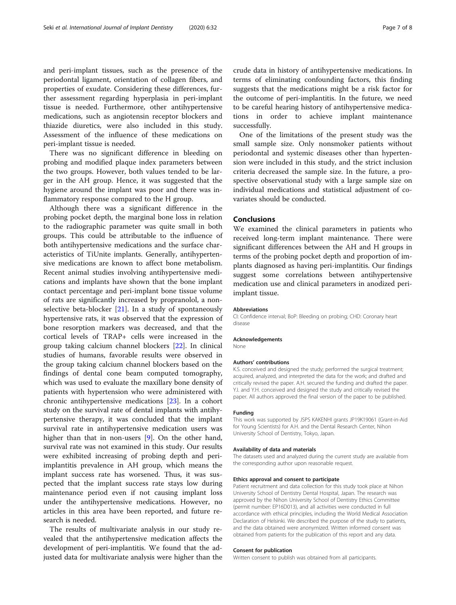and peri-implant tissues, such as the presence of the periodontal ligament, orientation of collagen fibers, and properties of exudate. Considering these differences, further assessment regarding hyperplasia in peri-implant tissue is needed. Furthermore, other antihypertensive medications, such as angiotensin receptor blockers and thiazide diuretics, were also included in this study. Assessment of the influence of these medications on peri-implant tissue is needed.

There was no significant difference in bleeding on probing and modified plaque index parameters between the two groups. However, both values tended to be larger in the AH group. Hence, it was suggested that the hygiene around the implant was poor and there was inflammatory response compared to the H group.

Although there was a significant difference in the probing pocket depth, the marginal bone loss in relation to the radiographic parameter was quite small in both groups. This could be attributable to the influence of both antihypertensive medications and the surface characteristics of TiUnite implants. Generally, antihypertensive medications are known to affect bone metabolism. Recent animal studies involving antihypertensive medications and implants have shown that the bone implant contact percentage and peri-implant bone tissue volume of rats are significantly increased by propranolol, a nonselective beta-blocker [\[21](#page-7-0)]. In a study of spontaneously hypertensive rats, it was observed that the expression of bone resorption markers was decreased, and that the cortical levels of TRAP+ cells were increased in the group taking calcium channel blockers [[22\]](#page-7-0). In clinical studies of humans, favorable results were observed in the group taking calcium channel blockers based on the findings of dental cone beam computed tomography, which was used to evaluate the maxillary bone density of patients with hypertension who were administered with chronic antihypertensive medications [\[23\]](#page-7-0). In a cohort study on the survival rate of dental implants with antihypertensive therapy, it was concluded that the implant survival rate in antihypertensive medication users was higher than that in non-users [[9\]](#page-7-0). On the other hand, survival rate was not examined in this study. Our results were exhibited increasing of probing depth and periimplantitis prevalence in AH group, which means the implant success rate has worsened. Thus, it was suspected that the implant success rate stays low during maintenance period even if not causing implant loss under the antihypertensive medications. However, no articles in this area have been reported, and future research is needed.

The results of multivariate analysis in our study revealed that the antihypertensive medication affects the development of peri-implantitis. We found that the adjusted data for multivariate analysis were higher than the crude data in history of antihypertensive medications. In terms of eliminating confounding factors, this finding suggests that the medications might be a risk factor for the outcome of peri-implantitis. In the future, we need to be careful hearing history of antihypertensive medications in order to achieve implant maintenance successfully.

One of the limitations of the present study was the small sample size. Only nonsmoker patients without periodontal and systemic diseases other than hypertension were included in this study, and the strict inclusion criteria decreased the sample size. In the future, a prospective observational study with a large sample size on individual medications and statistical adjustment of covariates should be conducted.

#### Conclusions

We examined the clinical parameters in patients who received long-term implant maintenance. There were significant differences between the AH and H groups in terms of the probing pocket depth and proportion of implants diagnosed as having peri-implantitis. Our findings suggest some correlations between antihypertensive medication use and clinical parameters in anodized periimplant tissue.

#### Abbreviations

CI: Confidence interval; BoP: Bleeding on probing; CHD: Coronary heart disease

#### Acknowledgements

None

#### Authors' contributions

K.S. conceived and designed the study; performed the surgical treatment; acquired, analyzed, and interpreted the data for the work; and drafted and critically revised the paper. A.H. secured the funding and drafted the paper. Y.I. and Y.H. conceived and designed the study and critically revised the paper. All authors approved the final version of the paper to be published.

#### Funding

This work was supported by JSPS KAKENHI grants JP19K19061 (Grant-in-Aid for Young Scientists) for A.H. and the Dental Research Center, Nihon University School of Dentistry, Tokyo, Japan.

#### Availability of data and materials

The datasets used and analyzed during the current study are available from the corresponding author upon reasonable request.

#### Ethics approval and consent to participate

Patient recruitment and data collection for this study took place at Nihon University School of Dentistry Dental Hospital, Japan. The research was approved by the Nihon University School of Dentistry Ethics Committee (permit number: EP16D013), and all activities were conducted in full accordance with ethical principles, including the World Medical Association Declaration of Helsinki. We described the purpose of the study to patients, and the data obtained were anonymized. Written informed consent was obtained from patients for the publication of this report and any data.

#### Consent for publication

Written consent to publish was obtained from all participants.